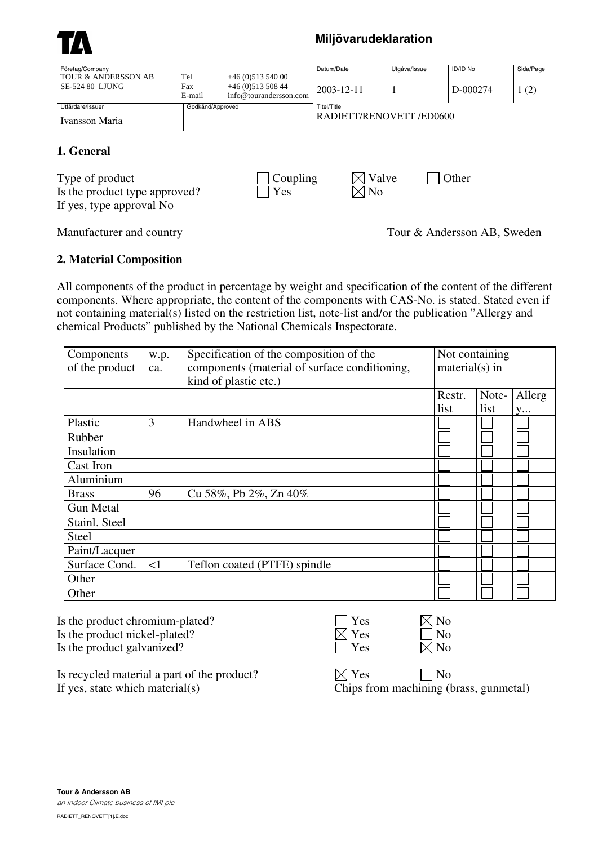

## **Miljövarudeklaration**

| Företag/Company<br>TOUR & ANDERSSON AB                                                                        | Tel                      | $+46(0)51354000$                           | Datum/Date              | Utgåva/Issue | <b>ID/ID No</b> | Sida/Page |  |
|---------------------------------------------------------------------------------------------------------------|--------------------------|--------------------------------------------|-------------------------|--------------|-----------------|-----------|--|
| <b>SE-524 80 LJUNG</b>                                                                                        | Fax<br>E-mail            | $+46(0)51350844$<br>info@tourandersson.com | 2003-12-11              | -1           | D-000274        | 1(2)      |  |
| Utfärdare/Issuer                                                                                              | Godkänd/Approved         |                                            | Titel/Title             |              |                 |           |  |
| Ivansson Maria                                                                                                | RADIETT/RENOVETT /ED0600 |                                            |                         |              |                 |           |  |
| 1. General<br>Coupling<br>Type of product<br>Yes<br>Is the product type approved?<br>If yes, type approval No |                          |                                            | Valve<br>N <sub>0</sub> |              | Other           |           |  |

Manufacturer and country Tour & Andersson AB, Sweden

## **2. Material Composition**

All components of the product in percentage by weight and specification of the content of the different components. Where appropriate, the content of the components with CAS-No. is stated. Stated even if not containing material(s) listed on the restriction list, note-list and/or the publication "Allergy and chemical Products" published by the National Chemicals Inspectorate.

| Components<br>of the product | w.p.<br>ca. | Specification of the composition of the<br>components (material of surface conditioning,<br>kind of plastic etc.) | Not containing<br>$material(s)$ in |       |        |
|------------------------------|-------------|-------------------------------------------------------------------------------------------------------------------|------------------------------------|-------|--------|
|                              |             |                                                                                                                   | Restr.                             | Note- | Allerg |
|                              |             |                                                                                                                   | list                               | list  | y      |
| Plastic                      | 3           | Handwheel in ABS                                                                                                  |                                    |       |        |
| Rubber                       |             |                                                                                                                   |                                    |       |        |
| Insulation                   |             |                                                                                                                   |                                    |       |        |
| Cast Iron                    |             |                                                                                                                   |                                    |       |        |
| Aluminium                    |             |                                                                                                                   |                                    |       |        |
| <b>Brass</b>                 | 96          | Cu 58%, Pb 2%, Zn 40%                                                                                             |                                    |       |        |
| <b>Gun Metal</b>             |             |                                                                                                                   |                                    |       |        |
| Stainl. Steel                |             |                                                                                                                   |                                    |       |        |
| <b>Steel</b>                 |             |                                                                                                                   |                                    |       |        |
| Paint/Lacquer                |             |                                                                                                                   |                                    |       |        |
| Surface Cond.                | $\leq$ 1    | Teflon coated (PTFE) spindle                                                                                      |                                    |       |        |
| Other                        |             |                                                                                                                   |                                    |       |        |
| Other                        |             |                                                                                                                   |                                    |       |        |

Is the product chromium-plated? Is the product nickel-plated? Is the product galvanized?  $\Box$  Yes  $\Box$  Yes  $\Box$  No

| s |
|---|
| Ś |
|   |

| n |
|---|
| n |
| Í |

Is recycled material a part of the product?  $\boxtimes$  Yes  $\Box$  No If yes, state which material(s) Chips from machining (brass, gunmetal)